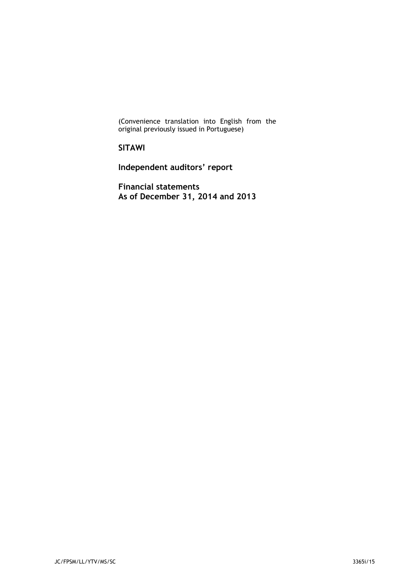(Convenience translation into English from the original previously issued in Portuguese)

**SITAWI** 

**Independent auditors' report** 

**Financial statements As of December 31, 2014 and 2013**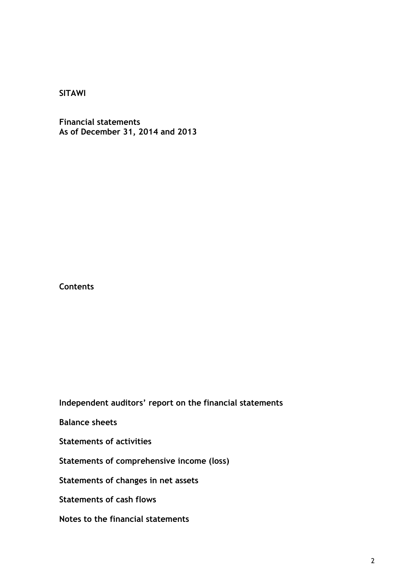**Financial statements As of December 31, 2014 and 2013** 

**Contents** 

**Independent auditors' report on the financial statements** 

**Balance sheets** 

**Statements of activities**

**Statements of comprehensive income (loss)** 

**Statements of changes in net assets** 

**Statements of cash flows** 

**Notes to the financial statements**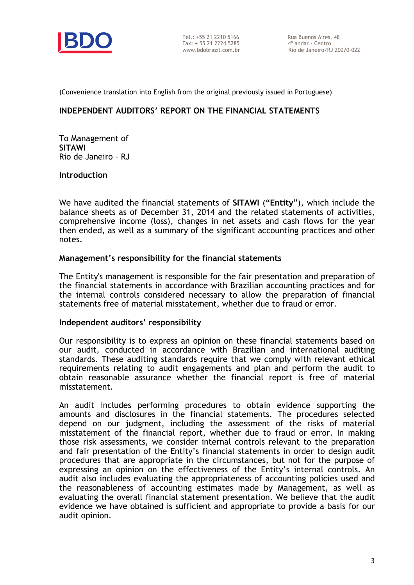

Tel.: +55 21 2210 5166 Rua Buenos Aires, 48 Fax: + 55 21 2224 5285 4º andar - Centro

Rio de Janeiro/RJ 20070-022

(Convenience translation into English from the original previously issued in Portuguese)

### **INDEPENDENT AUDITORS' REPORT ON THE FINANCIAL STATEMENTS**

To Management of **SITAWI** Rio de Janeiro – RJ

### **Introduction**

We have audited the financial statements of **SITAWI** ("**Entity**"), which include the balance sheets as of December 31, 2014 and the related statements of activities, comprehensive income (loss), changes in net assets and cash flows for the year then ended, as well as a summary of the significant accounting practices and other notes.

### **Management's responsibility for the financial statements**

The Entity's management is responsible for the fair presentation and preparation of the financial statements in accordance with Brazilian accounting practices and for the internal controls considered necessary to allow the preparation of financial statements free of material misstatement, whether due to fraud or error.

### **Independent auditors' responsibility**

Our responsibility is to express an opinion on these financial statements based on our audit, conducted in accordance with Brazilian and international auditing standards. These auditing standards require that we comply with relevant ethical requirements relating to audit engagements and plan and perform the audit to obtain reasonable assurance whether the financial report is free of material misstatement.

An audit includes performing procedures to obtain evidence supporting the amounts and disclosures in the financial statements. The procedures selected depend on our judgment, including the assessment of the risks of material misstatement of the financial report, whether due to fraud or error. In making those risk assessments, we consider internal controls relevant to the preparation and fair presentation of the Entity's financial statements in order to design audit procedures that are appropriate in the circumstances, but not for the purpose of expressing an opinion on the effectiveness of the Entity's internal controls. An audit also includes evaluating the appropriateness of accounting policies used and the reasonableness of accounting estimates made by Management, as well as evaluating the overall financial statement presentation. We believe that the audit evidence we have obtained is sufficient and appropriate to provide a basis for our audit opinion.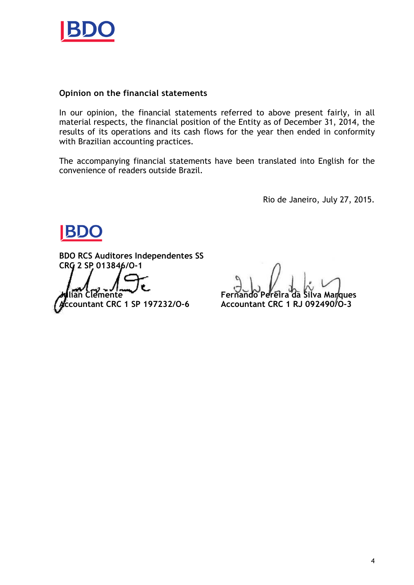

### **Opinion on the financial statements**

In our opinion, the financial statements referred to above present fairly, in all material respects, the financial position of the Entity as of December 31, 2014, the results of its operations and its cash flows for the year then ended in conformity with Brazilian accounting practices.

The accompanying financial statements have been translated into English for the convenience of readers outside Brazil.

Rio de Janeiro, July 27, 2015.

BD

**BDO RCS Auditores Independentes SS CRC 2 SP 013846/O-1**

**Accountant CRC 1 SP 197232/O-6 Accountant CRC 1 RJ 092490/O-3**

**Julian Clemente Fernando Pereira da Silva Marques**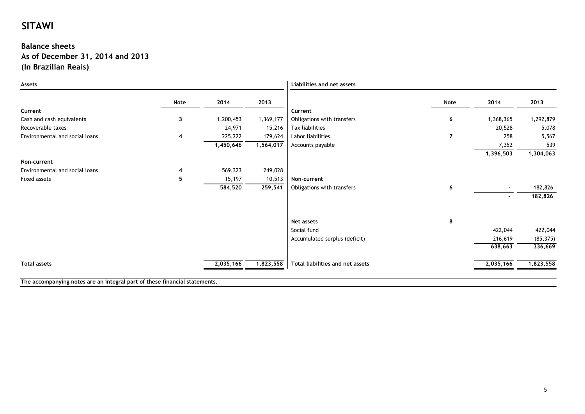### **Balance sheets As of December 31, 2014 and 2013(In Brazilian Reais)**

| 2014<br>1,200,453<br>24,971<br>225,222<br>1,450,646<br>569,323<br>15,197<br>584,520 | 2013<br>1,369,177<br>15,216<br>179,624<br>1,564,017<br>249,028<br>10,513 | Current<br>Obligations with transfers<br>Tax liabilities<br>Labor liabilities<br>Accounts payable<br>Non-current | Note<br>6<br>7                               | 2014<br>1,368,365<br>20,528<br>258<br>7,352<br>1,396,503 | 2013<br>1,292,879<br>5,078<br>5,567<br>539 |
|-------------------------------------------------------------------------------------|--------------------------------------------------------------------------|------------------------------------------------------------------------------------------------------------------|----------------------------------------------|----------------------------------------------------------|--------------------------------------------|
|                                                                                     |                                                                          |                                                                                                                  |                                              |                                                          |                                            |
|                                                                                     |                                                                          |                                                                                                                  |                                              |                                                          |                                            |
|                                                                                     |                                                                          |                                                                                                                  |                                              |                                                          |                                            |
|                                                                                     |                                                                          |                                                                                                                  |                                              |                                                          | 1,304,063                                  |
|                                                                                     |                                                                          |                                                                                                                  |                                              |                                                          |                                            |
|                                                                                     |                                                                          |                                                                                                                  |                                              |                                                          |                                            |
|                                                                                     |                                                                          |                                                                                                                  |                                              |                                                          |                                            |
|                                                                                     |                                                                          |                                                                                                                  |                                              |                                                          |                                            |
|                                                                                     |                                                                          |                                                                                                                  |                                              |                                                          |                                            |
|                                                                                     |                                                                          |                                                                                                                  |                                              |                                                          |                                            |
|                                                                                     | 259,541                                                                  | Obligations with transfers                                                                                       | 6                                            | $\sim$                                                   | 182,826                                    |
|                                                                                     |                                                                          |                                                                                                                  |                                              | $\sim$                                                   | 182,826                                    |
|                                                                                     |                                                                          | Net assets                                                                                                       |                                              |                                                          |                                            |
|                                                                                     |                                                                          |                                                                                                                  |                                              |                                                          | 422,044                                    |
|                                                                                     |                                                                          |                                                                                                                  |                                              |                                                          | (85, 375)                                  |
|                                                                                     |                                                                          |                                                                                                                  |                                              | 638,663                                                  | 336,669                                    |
|                                                                                     | 1,823,558                                                                | Total liabilities and net assets                                                                                 |                                              | 2,035,166                                                | 1,823,558                                  |
|                                                                                     | 2,035,166                                                                |                                                                                                                  | Social fund<br>Accumulated surplus (deficit) | 8                                                        | 422,044<br>216,619                         |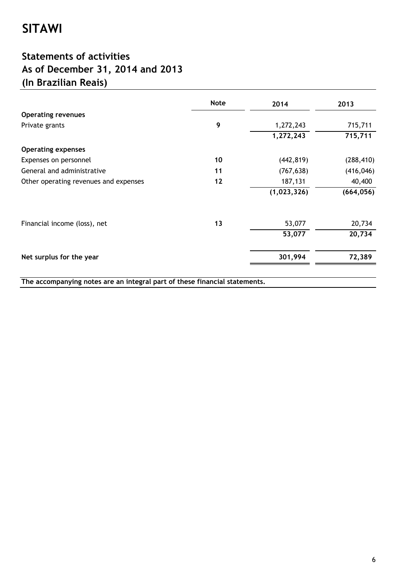## **Statements of activities As of December 31, 2014 and 2013 (In Brazilian Reais)**

|                                                                            | <b>Note</b> | 2014        | 2013       |
|----------------------------------------------------------------------------|-------------|-------------|------------|
| <b>Operating revenues</b>                                                  |             |             |            |
| Private grants                                                             | 9           | 1,272,243   | 715,711    |
|                                                                            |             | 1,272,243   | 715,711    |
| <b>Operating expenses</b>                                                  |             |             |            |
| Expenses on personnel                                                      | 10          | (442, 819)  | (288, 410) |
| General and administrative                                                 | 11          | (767, 638)  | (416, 046) |
| Other operating revenues and expenses                                      | $12$        | 187,131     | 40,400     |
|                                                                            |             | (1,023,326) | (664, 056) |
| Financial income (loss), net                                               | 13          | 53,077      | 20,734     |
|                                                                            |             | 53,077      | 20,734     |
| Net surplus for the year                                                   |             | 301,994     | 72,389     |
| The accompanying notes are an integral part of these financial statements. |             |             |            |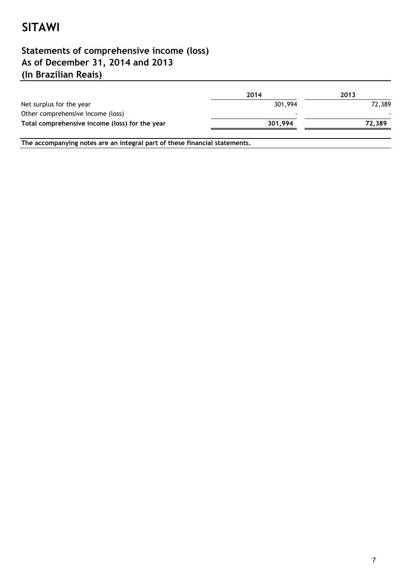## **(In Brazilian Reais) Statements of comprehensive income (loss) As of December 31, 2014 and 2013**

|                                                | 2014           | 2013   |
|------------------------------------------------|----------------|--------|
| Net surplus for the year                       | 301,994        | 72.389 |
| Other comprehensive income (loss)              | $\blacksquare$ |        |
| Total comprehensive income (loss) for the year | 301,994        | 72,389 |
|                                                |                |        |

**The accompanying notes are an integral part of these financial statements.**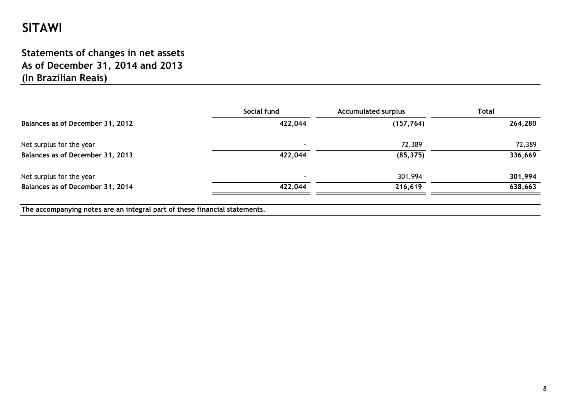## **Statements of changes in net assets As of December 31, 2014 and 2013(In Brazilian Reais)**

|                                                                            | Social fund | <b>Accumulated surplus</b> | <b>Total</b> |
|----------------------------------------------------------------------------|-------------|----------------------------|--------------|
| Balances as of December 31, 2012                                           | 422,044     | (157, 764)                 | 264,280      |
| Net surplus for the year                                                   |             | 72,389                     | 72,389       |
| Balances as of December 31, 2013                                           | 422,044     | (85, 375)                  | 336,669      |
| Net surplus for the year                                                   |             | 301,994                    | 301,994      |
| Balances as of December 31, 2014                                           | 422,044     | 216,619                    | 638,663      |
| The accompanying notes are an integral part of these financial statements. |             |                            |              |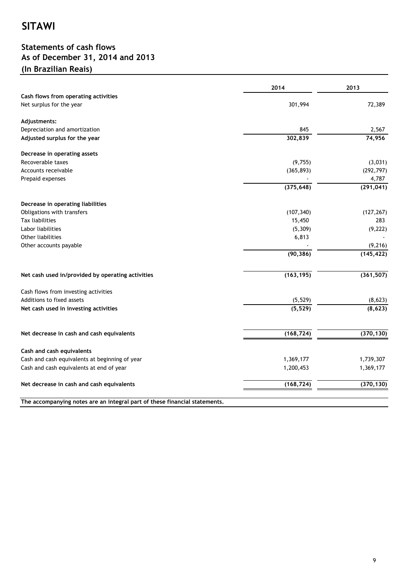### **Statements of cash flows As of December 31, 2014 and 2013 (In Brazilian Reais)**

|                                                                  | 2014       | 2013       |
|------------------------------------------------------------------|------------|------------|
| Cash flows from operating activities<br>Net surplus for the year | 301,994    | 72,389     |
| Adjustments:                                                     |            |            |
| Depreciation and amortization                                    | 845        | 2,567      |
| Adjusted surplus for the year                                    | 302,839    | 74,956     |
| Decrease in operating assets                                     |            |            |
| Recoverable taxes                                                | (9, 755)   | (3,031)    |
| Accounts receivable                                              | (365, 893) | (292, 797) |
| Prepaid expenses                                                 |            | 4,787      |
|                                                                  | (375, 648) | (291, 041) |
| Decrease in operating liabilities                                |            |            |
| Obligations with transfers                                       | (107, 340) | (127, 267) |
| Tax liabilities                                                  | 15,450     | 283        |
| Labor liabilities                                                | (5, 309)   | (9, 222)   |
| Other liabilities                                                | 6,813      |            |
| Other accounts payable                                           |            | (9, 216)   |
|                                                                  | (90, 386)  | (145, 422) |
| Net cash used in/provided by operating activities                | (163, 195) | (361, 507) |
| Cash flows from investing activities                             |            |            |
| Additions to fixed assets                                        | (5, 529)   | (8,623)    |
| Net cash used in investing activities                            | (5, 529)   | (8,623)    |
| Net decrease in cash and cash equivalents                        | (168, 724) | (370, 130) |
|                                                                  |            |            |
| Cash and cash equivalents                                        |            |            |
| Cash and cash equivalents at beginning of year                   | 1,369,177  | 1,739,307  |
| Cash and cash equivalents at end of year                         | 1,200,453  | 1,369,177  |
| Net decrease in cash and cash equivalents                        | (168, 724) | (370, 130) |

**The accompanying notes are an integral part of these financial statements.**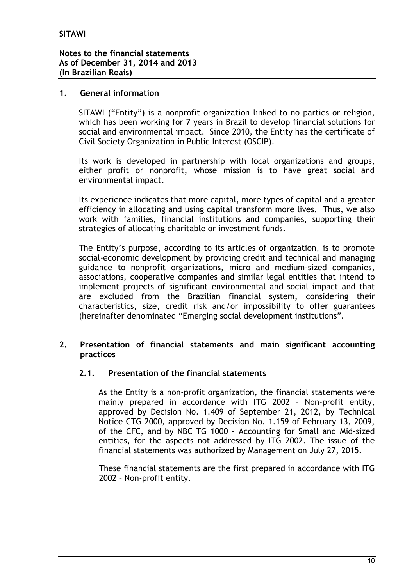### **1. General information**

SITAWI ("Entity") is a nonprofit organization linked to no parties or religion, which has been working for 7 years in Brazil to develop financial solutions for social and environmental impact. Since 2010, the Entity has the certificate of Civil Society Organization in Public Interest (OSCIP).

Its work is developed in partnership with local organizations and groups, either profit or nonprofit, whose mission is to have great social and environmental impact.

Its experience indicates that more capital, more types of capital and a greater efficiency in allocating and using capital transform more lives. Thus, we also work with families, financial institutions and companies, supporting their strategies of allocating charitable or investment funds.

The Entity's purpose, according to its articles of organization, is to promote social-economic development by providing credit and technical and managing guidance to nonprofit organizations, micro and medium-sized companies, associations, cooperative companies and similar legal entities that intend to implement projects of significant environmental and social impact and that are excluded from the Brazilian financial system, considering their characteristics, size, credit risk and/or impossibility to offer guarantees (hereinafter denominated "Emerging social development institutions".

### **2. Presentation of financial statements and main significant accounting practices**

### **2.1. Presentation of the financial statements**

As the Entity is a non-profit organization, the financial statements were mainly prepared in accordance with ITG 2002 – Non-profit entity, approved by Decision No. 1.409 of September 21, 2012, by Technical Notice CTG 2000, approved by Decision No. 1.159 of February 13, 2009, of the CFC, and by NBC TG 1000 - Accounting for Small and Mid-sized entities, for the aspects not addressed by ITG 2002. The issue of the financial statements was authorized by Management on July 27, 2015.

These financial statements are the first prepared in accordance with ITG 2002 – Non-profit entity.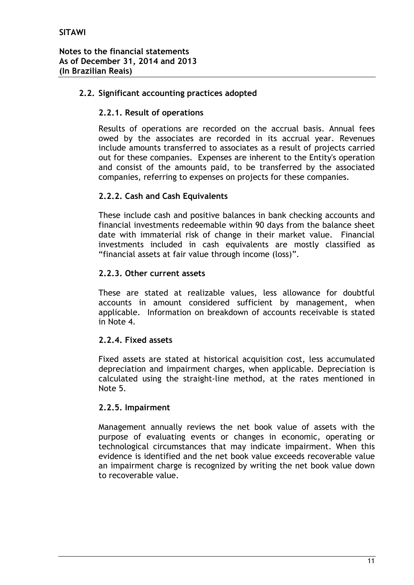### **2.2. Significant accounting practices adopted**

### **2.2.1. Result of operations**

Results of operations are recorded on the accrual basis. Annual fees owed by the associates are recorded in its accrual year. Revenues include amounts transferred to associates as a result of projects carried out for these companies. Expenses are inherent to the Entity's operation and consist of the amounts paid, to be transferred by the associated companies, referring to expenses on projects for these companies.

### **2.2.2. Cash and Cash Equivalents**

These include cash and positive balances in bank checking accounts and financial investments redeemable within 90 days from the balance sheet date with immaterial risk of change in their market value. Financial investments included in cash equivalents are mostly classified as "financial assets at fair value through income (loss)".

### **2.2.3. Other current assets**

These are stated at realizable values, less allowance for doubtful accounts in amount considered sufficient by management, when applicable. Information on breakdown of accounts receivable is stated in Note 4.

### **2.2.4. Fixed assets**

Fixed assets are stated at historical acquisition cost, less accumulated depreciation and impairment charges, when applicable. Depreciation is calculated using the straight-line method, at the rates mentioned in Note 5.

### **2.2.5. Impairment**

Management annually reviews the net book value of assets with the purpose of evaluating events or changes in economic, operating or technological circumstances that may indicate impairment. When this evidence is identified and the net book value exceeds recoverable value an impairment charge is recognized by writing the net book value down to recoverable value.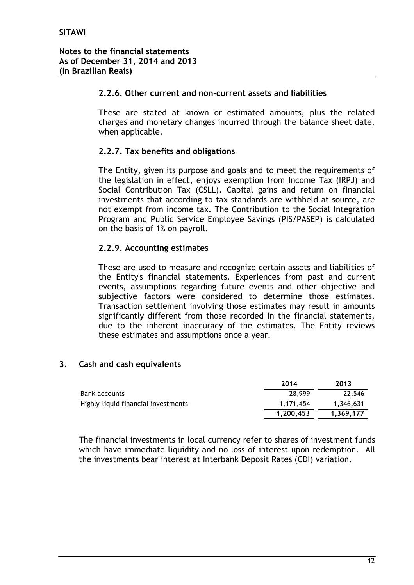### **2.2.6. Other current and non-current assets and liabilities**

These are stated at known or estimated amounts, plus the related charges and monetary changes incurred through the balance sheet date, when applicable.

### **2.2.7. Tax benefits and obligations**

The Entity, given its purpose and goals and to meet the requirements of the legislation in effect, enjoys exemption from Income Tax (IRPJ) and Social Contribution Tax (CSLL). Capital gains and return on financial investments that according to tax standards are withheld at source, are not exempt from income tax. The Contribution to the Social Integration Program and Public Service Employee Savings (PIS/PASEP) is calculated on the basis of 1% on payroll.

### **2.2.9. Accounting estimates**

These are used to measure and recognize certain assets and liabilities of the Entity's financial statements. Experiences from past and current events, assumptions regarding future events and other objective and subjective factors were considered to determine those estimates. Transaction settlement involving those estimates may result in amounts significantly different from those recorded in the financial statements, due to the inherent inaccuracy of the estimates. The Entity reviews these estimates and assumptions once a year.

### **3. Cash and cash equivalents**

|                                     | 2014      | 2013      |
|-------------------------------------|-----------|-----------|
| Bank accounts                       | 28,999    | 22,546    |
| Highly-liquid financial investments | 1.171.454 | 1,346,631 |
|                                     | 1.200.453 | 1.369.177 |

The financial investments in local currency refer to shares of investment funds which have immediate liquidity and no loss of interest upon redemption. All the investments bear interest at Interbank Deposit Rates (CDI) variation.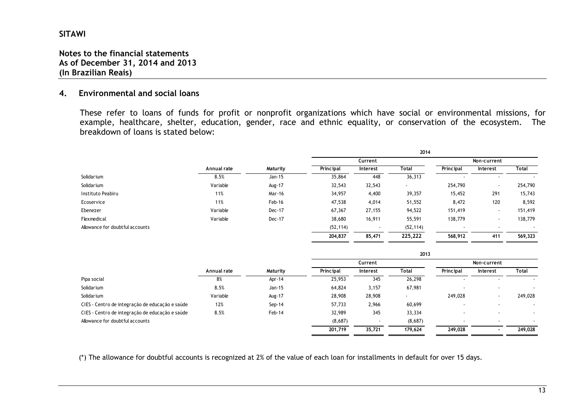### **Notes to the financial statements As of December 31, 2014 and 2013 (In Brazilian Reais)**

#### **4.Environmental and social loans**

These refer to loans of funds for profit or nonprofit organizations which have social or environmental missions, for example, healthcare, shelter, education, gender, race and ethnic equality, or conservation of the ecosystem. The breakdown of loans is stated below:

|                                 |             |          |           |          | 2014                     |                          |                          |         |
|---------------------------------|-------------|----------|-----------|----------|--------------------------|--------------------------|--------------------------|---------|
|                                 |             |          |           | Current  |                          | Non-current              |                          |         |
|                                 | Annual rate | Maturity | Principal | Interest | Total                    | Principal                | Interest                 | Total   |
| Solidarium                      | 8.5%        | Jan-15   | 35,864    | 448      | 36,313                   |                          |                          |         |
| Solidarium                      | Variable    | Aug-17   | 32,543    | 32,543   | $\overline{\phantom{a}}$ | 254,790                  |                          | 254,790 |
| Instituto Peabiru               | 11%         | Mar-16   | 34,957    | 4,400    | 39,357                   | 15,452                   | 291                      | 15,743  |
| Ecoservice                      | 11%         | Feb-16   | 47,538    | 4,014    | 51,552                   | 8,472                    | 120                      | 8,592   |
| Ebenezer                        | Variable    | Dec-17   | 67,367    | 27,155   | 94,522                   | 151,419                  | $\overline{\phantom{a}}$ | 151,419 |
| Flexmedical                     | Variable    | Dec-17   | 38,680    | 16,911   | 55,591                   | 138,779                  | $\overline{\phantom{a}}$ | 138,779 |
| Allowance for doubtful accounts |             |          | (52, 114) |          | (52, 114)                | $\overline{\phantom{a}}$ |                          |         |
|                                 |             |          | 204,837   | 85,471   | 225,222                  | 568,912                  | 411                      | 569,323 |

|                                                 |             |          | 2013      |          |                          |             |                          |         |
|-------------------------------------------------|-------------|----------|-----------|----------|--------------------------|-------------|--------------------------|---------|
|                                                 |             |          |           | Current  |                          | Non-current |                          |         |
|                                                 | Annual rate | Maturity | Principal | Interest | Total                    | Principal   | Interest                 | Total   |
| Pipa social                                     | 8%          | Apr-14   | 25,953    | 345      | 26,298                   |             |                          |         |
| Solidarium                                      | 8.5%        | Jan-15   | 64,824    | 3,157    | 67,981                   |             | $\overline{\phantom{a}}$ |         |
| Solidarium                                      | Variable    | Aug-17   | 28,908    | 28,908   | $\overline{\phantom{a}}$ | 249,028     | $\overline{\phantom{a}}$ | 249,028 |
| CIES - Centro de integração de educação e saúde | 12%         | $Sep-14$ | 57,733    | 2,966    | 60,699                   |             |                          |         |
| CIES - Centro de integração de educação e saúde | 8.5%        | Feb-14   | 32,989    | 345      | 33,334                   |             | $\overline{\phantom{a}}$ |         |
| Allowance for doubtful accounts                 |             |          | (8,687)   |          | (8,687)                  |             |                          |         |
|                                                 |             |          | 201.719   | 35,721   | 179,624                  | 249,028     | $\overline{\phantom{a}}$ | 249,028 |

(\*) The allowance for doubtful accounts is recognized at 2% of the value of each loan for installments in default for over 15 days.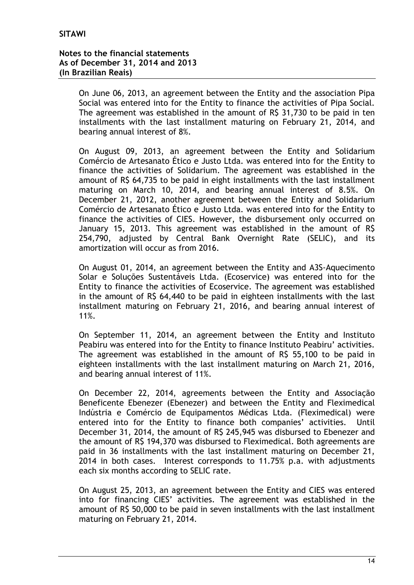On June 06, 2013, an agreement between the Entity and the association Pipa Social was entered into for the Entity to finance the activities of Pipa Social. The agreement was established in the amount of R\$ 31,730 to be paid in ten installments with the last installment maturing on February 21, 2014, and bearing annual interest of 8%.

On August 09, 2013, an agreement between the Entity and Solidarium Comércio de Artesanato Ético e Justo Ltda. was entered into for the Entity to finance the activities of Solidarium. The agreement was established in the amount of R\$ 64,735 to be paid in eight installments with the last installment maturing on March 10, 2014, and bearing annual interest of 8.5%. On December 21, 2012, another agreement between the Entity and Solidarium Comércio de Artesanato Ético e Justo Ltda. was entered into for the Entity to finance the activities of CIES. However, the disbursement only occurred on January 15, 2013. This agreement was established in the amount of R\$ 254,790, adjusted by Central Bank Overnight Rate (SELIC), and its amortization will occur as from 2016.

On August 01, 2014, an agreement between the Entity and A3S-Aquecimento Solar e Soluções Sustentáveis Ltda. (Ecoservice) was entered into for the Entity to finance the activities of Ecoservice. The agreement was established in the amount of R\$ 64,440 to be paid in eighteen installments with the last installment maturing on February 21, 2016, and bearing annual interest of 11%.

On September 11, 2014, an agreement between the Entity and Instituto Peabiru was entered into for the Entity to finance Instituto Peabiru' activities. The agreement was established in the amount of R\$ 55,100 to be paid in eighteen installments with the last installment maturing on March 21, 2016, and bearing annual interest of 11%.

On December 22, 2014, agreements between the Entity and Associação Beneficente Ebenezer (Ebenezer) and between the Entity and Fleximedical Indústria e Comércio de Equipamentos Médicas Ltda. (Fleximedical) were entered into for the Entity to finance both companies' activities. Until December 31, 2014, the amount of R\$ 245,945 was disbursed to Ebenezer and the amount of R\$ 194,370 was disbursed to Fleximedical. Both agreements are paid in 36 installments with the last installment maturing on December 21, 2014 in both cases. Interest corresponds to 11.75% p.a. with adjustments each six months according to SELIC rate.

On August 25, 2013, an agreement between the Entity and CIES was entered into for financing CIES' activities. The agreement was established in the amount of R\$ 50,000 to be paid in seven installments with the last installment maturing on February 21, 2014.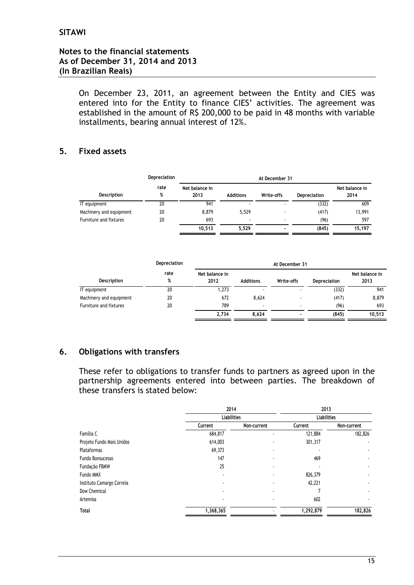On December 23, 2011, an agreement between the Entity and CIES was entered into for the Entity to finance CIES' activities. The agreement was established in the amount of R\$ 200,000 to be paid in 48 months with variable installments, bearing annual interest of 12%.

### **5. Fixed assets**

|                         | Depreciation | At December 31         |                          |            |                     |                        |  |
|-------------------------|--------------|------------------------|--------------------------|------------|---------------------|------------------------|--|
| Description             | rate<br>%    | Net balance in<br>2013 | <b>Additions</b>         | Write-offs | <b>Depreciation</b> | Net balance in<br>2014 |  |
| IT equipment            | 20           | 941                    | $\overline{\phantom{a}}$ |            | (332)               | 609                    |  |
| Machinery and equipment | 20           | 8.879                  | 5.529                    | ٠          | (417)               | 13,991                 |  |
| Furniture and fixtures  | 20           | 693                    | $\blacksquare$           |            | (96)                | 597                    |  |
|                         |              | 10,513                 | 5.529                    |            | (845)               | 15,197                 |  |

|                         | Depreciation |                        |                  |            |                     |                        |
|-------------------------|--------------|------------------------|------------------|------------|---------------------|------------------------|
| Description             | rate<br>%    | Net balance in<br>2012 | <b>Additions</b> | Write-offs | <b>Depreciation</b> | Net balance in<br>2013 |
| IT equipment            | 20           | 1,273                  | ۰                |            | (332)               | 941                    |
| Machinery and equipment | 20           | 672                    | 8.624            |            | (417)               | 8,879                  |
| Furniture and fixtures  | 20           | 789                    |                  |            | (96)                | 693                    |
|                         |              | 2,734                  | 8.624            |            | (845)               | 10,513                 |

### **6. Obligations with transfers**

These refer to obligations to transfer funds to partners as agreed upon in the partnership agreements entered into between parties. The breakdown of these transfers is stated below:

|                           | 2014               |                          | 2013<br><b>Liabilities</b> |             |  |
|---------------------------|--------------------|--------------------------|----------------------------|-------------|--|
|                           | <b>Liabilities</b> |                          |                            |             |  |
|                           | Current            | Non-current              | Current                    | Non-current |  |
| Família C                 | 684,817            |                          | 121,884                    | 182,826     |  |
| Projeto Fundo Mais Unidos | 614,003            |                          | 301,317                    |             |  |
| Plataformas               | 69,373             |                          |                            |             |  |
| Fundo Bonsucesso          | 147                |                          | 469                        |             |  |
| Fundação FBMW             | 25                 | ۰                        |                            |             |  |
| Fundo MMX                 |                    | ٠                        | 826,379                    |             |  |
| Instituto Camargo Correia |                    | ۰                        | 42,221                     |             |  |
| Dow Chemical              |                    | ۰                        |                            |             |  |
| Artemisa                  |                    | $\overline{\phantom{a}}$ | 602                        |             |  |
| <b>Total</b>              | 1,368,365          |                          | 1,292,879                  | 182,826     |  |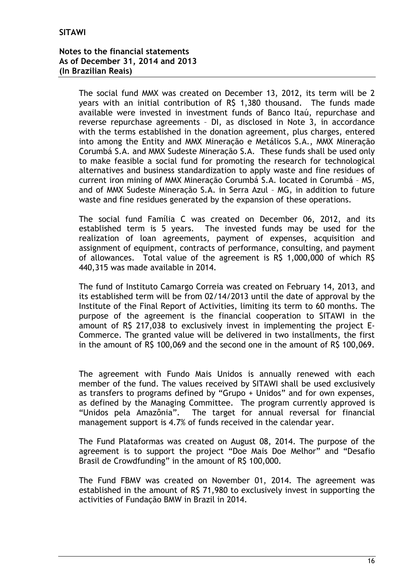The social fund MMX was created on December 13, 2012, its term will be 2 years with an initial contribution of R\$ 1,380 thousand. The funds made available were invested in investment funds of Banco Itaú, repurchase and reverse repurchase agreements – DI, as disclosed in Note 3, in accordance with the terms established in the donation agreement, plus charges, entered into among the Entity and MMX Mineração e Metálicos S.A., MMX Mineração Corumbá S.A. and MMX Sudeste Mineração S.A. These funds shall be used only to make feasible a social fund for promoting the research for technological alternatives and business standardization to apply waste and fine residues of current iron mining of MMX Mineração Corumbá S.A. located in Corumbá – MS, and of MMX Sudeste Mineração S.A. in Serra Azul – MG, in addition to future waste and fine residues generated by the expansion of these operations.

The social fund Família C was created on December 06, 2012, and its established term is 5 years. The invested funds may be used for the realization of loan agreements, payment of expenses, acquisition and assignment of equipment, contracts of performance, consulting, and payment of allowances. Total value of the agreement is R\$ 1,000,000 of which R\$ 440,315 was made available in 2014.

The fund of Instituto Camargo Correia was created on February 14, 2013, and its established term will be from 02/14/2013 until the date of approval by the Institute of the Final Report of Activities, limiting its term to 60 months. The purpose of the agreement is the financial cooperation to SITAWI in the amount of R\$ 217,038 to exclusively invest in implementing the project E-Commerce. The granted value will be delivered in two installments, the first in the amount of R\$ 100,069 and the second one in the amount of R\$ 100,069.

The agreement with Fundo Mais Unidos is annually renewed with each member of the fund. The values received by SITAWI shall be used exclusively as transfers to programs defined by "Grupo + Unidos" and for own expenses, as defined by the Managing Committee. The program currently approved is "Unidos pela Amazônia". The target for annual reversal for financial management support is 4.7% of funds received in the calendar year.

The Fund Plataformas was created on August 08, 2014. The purpose of the agreement is to support the project "Doe Mais Doe Melhor" and "Desafio Brasil de Crowdfunding" in the amount of R\$ 100,000.

The Fund FBMV was created on November 01, 2014. The agreement was established in the amount of R\$ 71,980 to exclusively invest in supporting the activities of Fundação BMW in Brazil in 2014.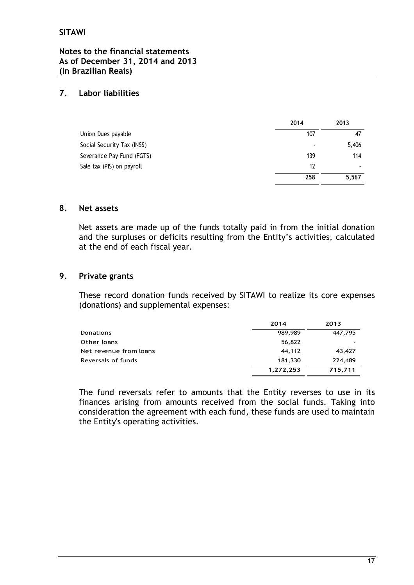### **7. Labor liabilities**

|                            | 2014           | 2013  |
|----------------------------|----------------|-------|
| Union Dues payable         | 107            | 47    |
| Social Security Tax (INSS) | $\blacksquare$ | 5,406 |
| Severance Pay Fund (FGTS)  | 139            | 114   |
| Sale tax (PIS) on payroll  | 12             | ٠     |
|                            | 258            | 5,567 |

### **8. Net assets**

Net assets are made up of the funds totally paid in from the initial donation and the surpluses or deficits resulting from the Entity's activities, calculated at the end of each fiscal year.

### **9. Private grants**

These record donation funds received by SITAWI to realize its core expenses (donations) and supplemental expenses:

|                        | 2014      | 2013    |
|------------------------|-----------|---------|
| Donations              | 989,989   | 447,795 |
| Other loans            | 56,822    |         |
| Net revenue from loans | 44.112    | 43,427  |
| Reversals of funds     | 181,330   | 224,489 |
|                        | 1,272,253 | 715,711 |

The fund reversals refer to amounts that the Entity reverses to use in its finances arising from amounts received from the social funds. Taking into consideration the agreement with each fund, these funds are used to maintain the Entity's operating activities.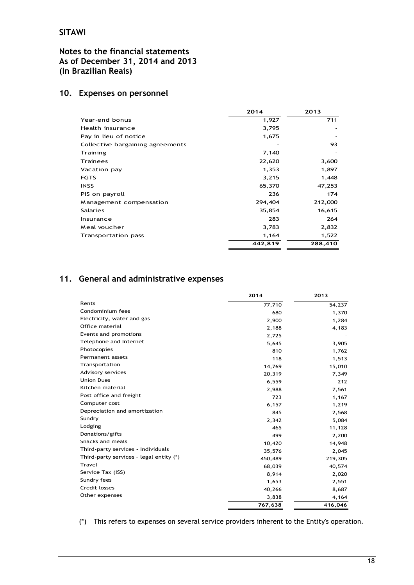### **Notes to the financial statements As of December 31, 2014 and 2013 (In Brazilian Reais)**

### **10. Expenses on personnel**

|                                  | 2014    | 2013    |
|----------------------------------|---------|---------|
| Year-end bonus                   | 1,927   | 711     |
| Health insurance                 | 3,795   |         |
| Pay in lieu of notice            | 1,675   |         |
| Collective bargaining agreements |         | 93      |
| Training                         | 7,140   |         |
| <b>Trainees</b>                  | 22,620  | 3,600   |
| Vacation pay                     | 1,353   | 1,897   |
| <b>FGTS</b>                      | 3,215   | 1,448   |
| <b>INSS</b>                      | 65,370  | 47,253  |
| PIS on payroll                   | 236     | 174     |
| Management compensation          | 294,404 | 212,000 |
| <b>Salaries</b>                  | 35,854  | 16,615  |
| Insurance                        | 283     | 264     |
| Meal voucher                     | 3,783   | 2,832   |
| Transportation pass              | 1,164   | 1,522   |
|                                  | 442,819 | 288,410 |

### **11. General and administrative expenses**

|                                         | 2014    | 2013    |
|-----------------------------------------|---------|---------|
| Rents                                   | 77,710  | 54,237  |
| Condominium fees                        | 680     | 1,370   |
| Electricity, water and gas              | 2,900   | 1,284   |
| Office material                         | 2,188   | 4,183   |
| Events and promotions                   | 2,725   |         |
| Telephone and Internet                  | 5,645   | 3,905   |
| Photocopies                             | 810     | 1,762   |
| Permanent assets                        | 118     | 1,513   |
| Transportation                          | 14,769  | 15,010  |
| Advisory services                       | 20,319  | 7,349   |
| <b>Union Dues</b>                       | 6,559   | 212     |
| Kitchen material                        | 2,988   | 7,561   |
| Post office and freight                 | 723     | 1,167   |
| Computer cost                           | 6,157   | 1,219   |
| Depreciation and amortization           | 845     | 2,568   |
| Sundry                                  | 2,342   | 5,084   |
| Lodging                                 | 465     | 11,128  |
| Donations/gifts                         | 499     | 2,200   |
| Snacks and meals                        | 10,420  | 14,948  |
| Third-party services - Individuals      | 35,576  | 2,045   |
| Third-party services - legal entity (*) | 450,489 | 219,305 |
| Travel                                  | 68,039  | 40,574  |
| Service Tax (ISS)                       | 8,914   | 2,020   |
| Sundry fees                             | 1,653   | 2,551   |
| <b>Credit losses</b>                    | 40,266  | 8,687   |
| Other expenses                          | 3,838   | 4,164   |
|                                         | 767,638 | 416,046 |

(\*) This refers to expenses on several service providers inherent to the Entity's operation.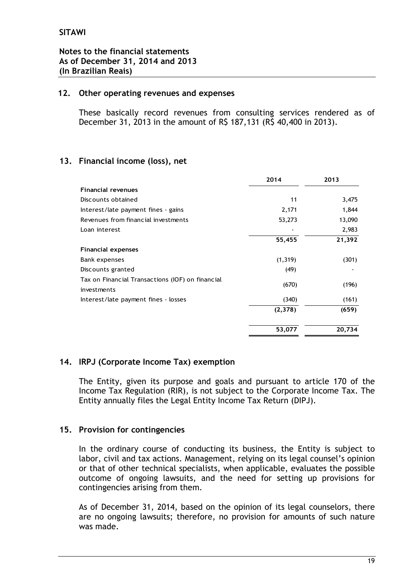### **12. Other operating revenues and expenses**

These basically record revenues from consulting services rendered as of December 31, 2013 in the amount of R\$ 187,131 (R\$ 40,400 in 2013).

### **13. Financial income (loss), net**

|                                                                 | 2014     | 2013   |
|-----------------------------------------------------------------|----------|--------|
| <b>Financial revenues</b>                                       |          |        |
| Discounts obtained                                              | 11       | 3,475  |
| Interest/late payment fines - gains                             | 2,171    | 1,844  |
| Revenues from financial investments                             | 53,273   | 13,090 |
| Loan interest                                                   |          | 2,983  |
|                                                                 | 55,455   | 21,392 |
| <b>Financial expenses</b>                                       |          |        |
| Bank expenses                                                   | (1, 319) | (301)  |
| Discounts granted                                               | (49)     |        |
| Tax on Financial Transactions (IOF) on financial<br>investments | (670)    | (196)  |
| Interest/late payment fines - losses                            | (340)    | (161)  |
|                                                                 | (2,378)  | (659)  |
|                                                                 | 53,077   | 20,734 |

### **14. IRPJ (Corporate Income Tax) exemption**

The Entity, given its purpose and goals and pursuant to article 170 of the Income Tax Regulation (RIR), is not subject to the Corporate Income Tax. The Entity annually files the Legal Entity Income Tax Return (DIPJ).

### **15. Provision for contingencies**

In the ordinary course of conducting its business, the Entity is subject to labor, civil and tax actions. Management, relying on its legal counsel's opinion or that of other technical specialists, when applicable, evaluates the possible outcome of ongoing lawsuits, and the need for setting up provisions for contingencies arising from them.

As of December 31, 2014, based on the opinion of its legal counselors, there are no ongoing lawsuits; therefore, no provision for amounts of such nature was made.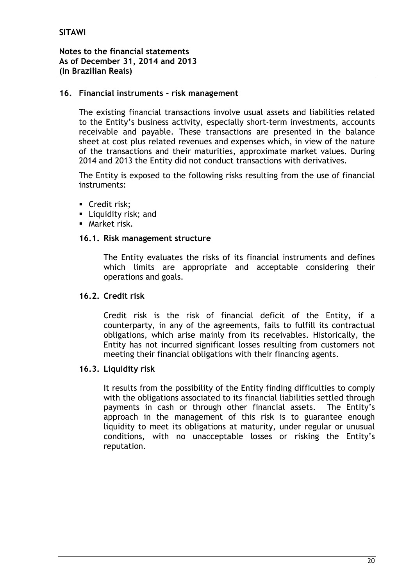### **16. Financial instruments - risk management**

The existing financial transactions involve usual assets and liabilities related to the Entity's business activity, especially short-term investments, accounts receivable and payable. These transactions are presented in the balance sheet at cost plus related revenues and expenses which, in view of the nature of the transactions and their maturities, approximate market values. During 2014 and 2013 the Entity did not conduct transactions with derivatives.

The Entity is exposed to the following risks resulting from the use of financial instruments:

- Credit risk:
- **Liquidity risk; and**
- **Market risk.**

### **16.1. Risk management structure**

The Entity evaluates the risks of its financial instruments and defines which limits are appropriate and acceptable considering their operations and goals.

### **16.2. Credit risk**

Credit risk is the risk of financial deficit of the Entity, if a counterparty, in any of the agreements, fails to fulfill its contractual obligations, which arise mainly from its receivables. Historically, the Entity has not incurred significant losses resulting from customers not meeting their financial obligations with their financing agents.

### **16.3. Liquidity risk**

It results from the possibility of the Entity finding difficulties to comply with the obligations associated to its financial liabilities settled through payments in cash or through other financial assets. The Entity's approach in the management of this risk is to guarantee enough liquidity to meet its obligations at maturity, under regular or unusual conditions, with no unacceptable losses or risking the Entity's reputation.